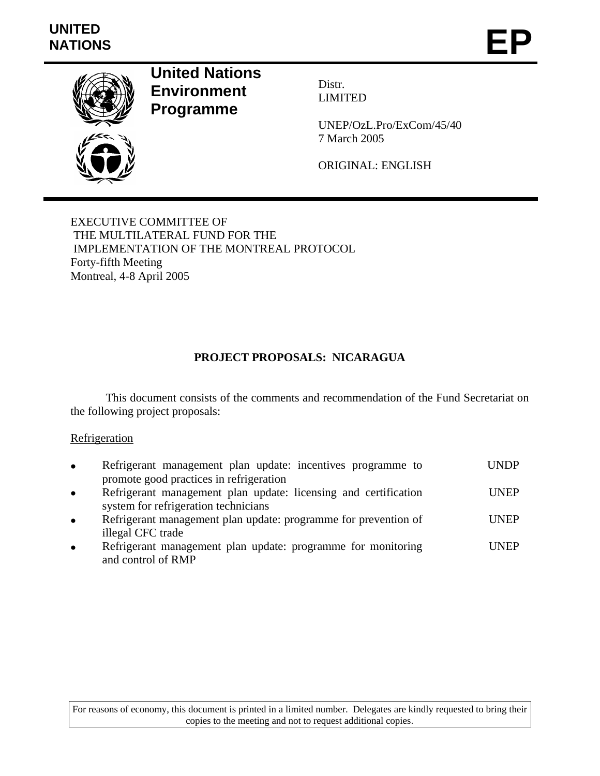# **UNITED**  UNITED<br>NATIONS **EP**



**United Nations Environment Programme** 

Distr. LIMITED

UNEP/OzL.Pro/ExCom/45/40 7 March 2005

ORIGINAL: ENGLISH

EXECUTIVE COMMITTEE OF THE MULTILATERAL FUND FOR THE IMPLEMENTATION OF THE MONTREAL PROTOCOL Forty-fifth Meeting Montreal, 4-8 April 2005

# **PROJECT PROPOSALS: NICARAGUA**

 This document consists of the comments and recommendation of the Fund Secretariat on the following project proposals:

### **Refrigeration**

| $\bullet$ | Refrigerant management plan update: incentives programme to     | <b>UNDP</b> |
|-----------|-----------------------------------------------------------------|-------------|
|           | promote good practices in refrigeration                         |             |
| $\bullet$ | Refrigerant management plan update: licensing and certification | <b>UNEP</b> |
|           | system for refrigeration technicians                            |             |
| $\bullet$ | Refrigerant management plan update: programme for prevention of | <b>UNEP</b> |
|           | illegal CFC trade                                               |             |

Refrigerant management plan update: programme for monitoring and control of RMP UNEP

For reasons of economy, this document is printed in a limited number. Delegates are kindly requested to bring their copies to the meeting and not to request additional copies.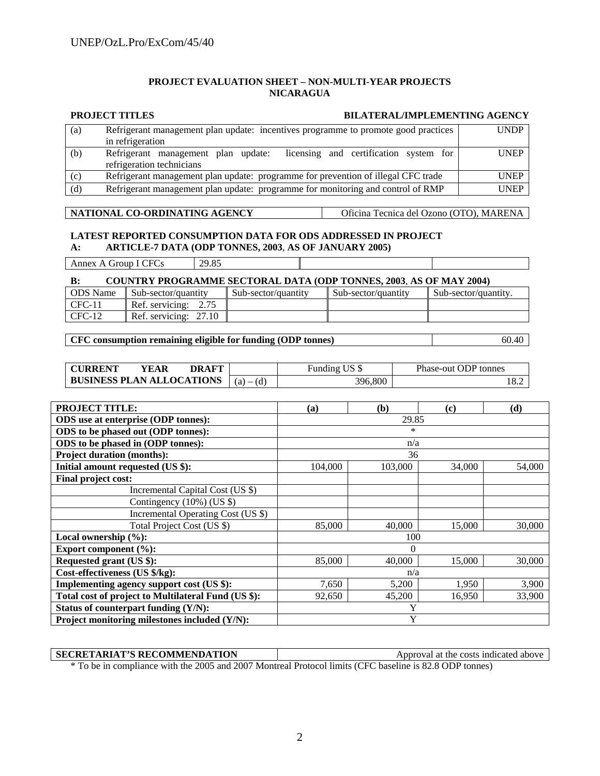#### **PROJECT EVALUATION SHEET – NON-MULTI-YEAR PROJECTS NICARAGUA**

#### **PROJECT TITLES BILATERAL/IMPLEMENTING AGENCY**  (a) Refrigerant management plan update: incentives programme to promote good practices in refrigeration UNDP (b) Refrigerant management plan update: licensing and certification system for refrigeration technicians UNEP (c) Refrigerant management plan update: programme for prevention of illegal CFC trade UNEP (d) Refrigerant management plan update: programme for monitoring and control of RMP UNEP

#### **NATIONAL CO-ORDINATING AGENCY** Oficina Tecnica del Ozono (OTO), MARENA

#### **LATEST REPORTED CONSUMPTION DATA FOR ODS ADDRESSED IN PROJECT A: ARTICLE-7 DATA (ODP TONNES, 2003**, **AS OF JANUARY 2005)**

#### **B: COUNTRY PROGRAMME SECTORAL DATA (ODP TONNES, 2003**, **AS OF MAY 2004)**

| <b>ODS</b> Name | Sub-sector/quantity      | Sub-sector/quantity | Sub-sector/quantity | Sub-sector/quantity. |
|-----------------|--------------------------|---------------------|---------------------|----------------------|
| CFC-11          | Ref. servicing:          |                     |                     |                      |
| $\Gamma$ CFC-12 | Ref. servicing:<br>27.10 |                     |                     |                      |

#### **CFC consumption remaining eligible for funding (ODP tonnes)** 60.40

| <b>CURRENT</b>                   | YEAR | <b>DRAFT</b> |         | Funding US \$ | Phase-out ODP tonnes |
|----------------------------------|------|--------------|---------|---------------|----------------------|
| <b>BUSINESS PLAN ALLOCATIONS</b> |      | $(a) - (d)$  | 396,800 | 18.2          |                      |

| <b>PROJECT TITLE:</b>                               | (a)      | (b)     | (c)    | (d)    |
|-----------------------------------------------------|----------|---------|--------|--------|
| ODS use at enterprise (ODP tonnes):                 | 29.85    |         |        |        |
| ODS to be phased out (ODP tonnes):                  |          | *       |        |        |
| ODS to be phased in (ODP tonnes):                   | n/a      |         |        |        |
| <b>Project duration (months):</b>                   | 36       |         |        |        |
| Initial amount requested (US \$):                   | 104,000  | 103,000 | 34,000 | 54,000 |
| Final project cost:                                 |          |         |        |        |
| Incremental Capital Cost (US \$)                    |          |         |        |        |
| Contingency $(10\%)$ (US \$)                        |          |         |        |        |
| Incremental Operating Cost (US \$)                  |          |         |        |        |
| Total Project Cost (US \$)                          | 85,000   | 40,000  | 15,000 | 30,000 |
| Local ownership $(\%):$                             | 100      |         |        |        |
| Export component (%):                               | $\Omega$ |         |        |        |
| Requested grant (US \$):                            | 85,000   | 40,000  | 15,000 | 30,000 |
| Cost-effectiveness (US \$/kg):                      | n/a      |         |        |        |
| Implementing agency support cost (US \$):           | 7,650    | 5,200   | 1,950  | 3,900  |
| Total cost of project to Multilateral Fund (US \$): | 92,650   | 45,200  | 16,950 | 33,900 |
| Status of counterpart funding (Y/N):                |          | Y       |        |        |
| Project monitoring milestones included (Y/N):       |          | Y       |        |        |

#### **SECRETARIAT'S RECOMMENDATION** Approval at the costs indicated above

\* To be in compliance with the 2005 and 2007 Montreal Protocol limits (CFC baseline is 82.8 ODP tonnes)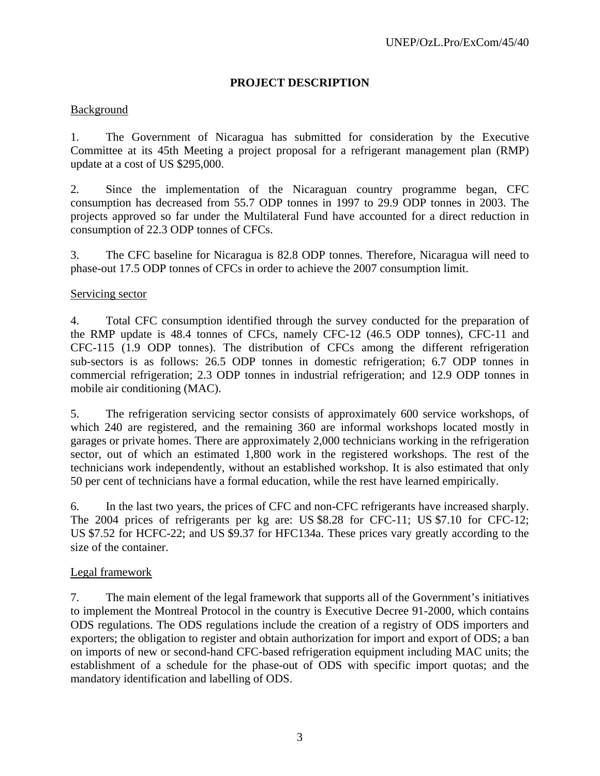# **PROJECT DESCRIPTION**

# Background

1. The Government of Nicaragua has submitted for consideration by the Executive Committee at its 45th Meeting a project proposal for a refrigerant management plan (RMP) update at a cost of US \$295,000.

2. Since the implementation of the Nicaraguan country programme began, CFC consumption has decreased from 55.7 ODP tonnes in 1997 to 29.9 ODP tonnes in 2003. The projects approved so far under the Multilateral Fund have accounted for a direct reduction in consumption of 22.3 ODP tonnes of CFCs.

3. The CFC baseline for Nicaragua is 82.8 ODP tonnes. Therefore, Nicaragua will need to phase-out 17.5 ODP tonnes of CFCs in order to achieve the 2007 consumption limit.

#### Servicing sector

4. Total CFC consumption identified through the survey conducted for the preparation of the RMP update is 48.4 tonnes of CFCs, namely CFC-12 (46.5 ODP tonnes), CFC-11 and CFC-115 (1.9 ODP tonnes). The distribution of CFCs among the different refrigeration sub-sectors is as follows: 26.5 ODP tonnes in domestic refrigeration; 6.7 ODP tonnes in commercial refrigeration; 2.3 ODP tonnes in industrial refrigeration; and 12.9 ODP tonnes in mobile air conditioning (MAC).

5. The refrigeration servicing sector consists of approximately 600 service workshops, of which 240 are registered, and the remaining 360 are informal workshops located mostly in garages or private homes. There are approximately 2,000 technicians working in the refrigeration sector, out of which an estimated 1,800 work in the registered workshops. The rest of the technicians work independently, without an established workshop. It is also estimated that only 50 per cent of technicians have a formal education, while the rest have learned empirically.

6. In the last two years, the prices of CFC and non-CFC refrigerants have increased sharply. The 2004 prices of refrigerants per kg are: US \$8.28 for CFC-11; US \$7.10 for CFC-12; US \$7.52 for HCFC-22; and US \$9.37 for HFC134a. These prices vary greatly according to the size of the container.

#### Legal framework

7. The main element of the legal framework that supports all of the Government's initiatives to implement the Montreal Protocol in the country is Executive Decree 91-2000, which contains ODS regulations. The ODS regulations include the creation of a registry of ODS importers and exporters; the obligation to register and obtain authorization for import and export of ODS; a ban on imports of new or second-hand CFC-based refrigeration equipment including MAC units; the establishment of a schedule for the phase-out of ODS with specific import quotas; and the mandatory identification and labelling of ODS.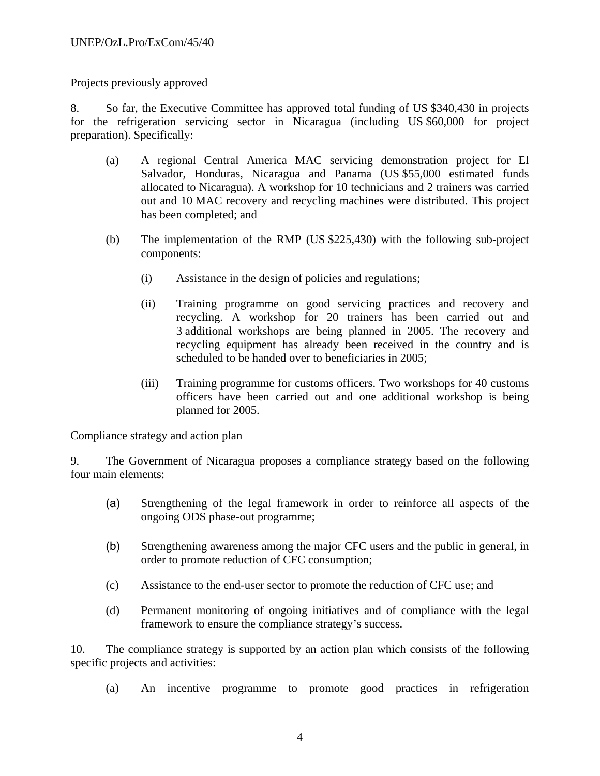# Projects previously approved

8. So far, the Executive Committee has approved total funding of US \$340,430 in projects for the refrigeration servicing sector in Nicaragua (including US \$60,000 for project preparation). Specifically:

- (a) A regional Central America MAC servicing demonstration project for El Salvador, Honduras, Nicaragua and Panama (US \$55,000 estimated funds allocated to Nicaragua). A workshop for 10 technicians and 2 trainers was carried out and 10 MAC recovery and recycling machines were distributed. This project has been completed; and
- (b) The implementation of the RMP (US \$225,430) with the following sub-project components:
	- (i) Assistance in the design of policies and regulations;
	- (ii) Training programme on good servicing practices and recovery and recycling. A workshop for 20 trainers has been carried out and 3 additional workshops are being planned in 2005. The recovery and recycling equipment has already been received in the country and is scheduled to be handed over to beneficiaries in 2005;
	- (iii) Training programme for customs officers. Two workshops for 40 customs officers have been carried out and one additional workshop is being planned for 2005.

#### Compliance strategy and action plan

9. The Government of Nicaragua proposes a compliance strategy based on the following four main elements:

- (a) Strengthening of the legal framework in order to reinforce all aspects of the ongoing ODS phase-out programme;
- (b) Strengthening awareness among the major CFC users and the public in general, in order to promote reduction of CFC consumption;
- (c) Assistance to the end-user sector to promote the reduction of CFC use; and
- (d) Permanent monitoring of ongoing initiatives and of compliance with the legal framework to ensure the compliance strategy's success.

10. The compliance strategy is supported by an action plan which consists of the following specific projects and activities:

(a) An incentive programme to promote good practices in refrigeration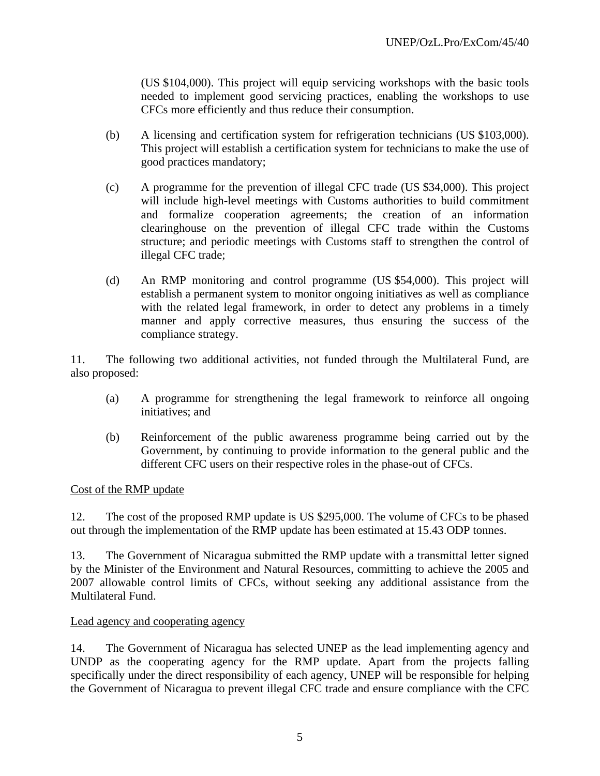(US \$104,000). This project will equip servicing workshops with the basic tools needed to implement good servicing practices, enabling the workshops to use CFCs more efficiently and thus reduce their consumption.

- (b) A licensing and certification system for refrigeration technicians (US \$103,000). This project will establish a certification system for technicians to make the use of good practices mandatory;
- (c) A programme for the prevention of illegal CFC trade (US \$34,000). This project will include high-level meetings with Customs authorities to build commitment and formalize cooperation agreements; the creation of an information clearinghouse on the prevention of illegal CFC trade within the Customs structure; and periodic meetings with Customs staff to strengthen the control of illegal CFC trade;
- (d) An RMP monitoring and control programme (US \$54,000). This project will establish a permanent system to monitor ongoing initiatives as well as compliance with the related legal framework, in order to detect any problems in a timely manner and apply corrective measures, thus ensuring the success of the compliance strategy.

11. The following two additional activities, not funded through the Multilateral Fund, are also proposed:

- (a) A programme for strengthening the legal framework to reinforce all ongoing initiatives; and
- (b) Reinforcement of the public awareness programme being carried out by the Government, by continuing to provide information to the general public and the different CFC users on their respective roles in the phase-out of CFCs.

#### Cost of the RMP update

12. The cost of the proposed RMP update is US \$295,000. The volume of CFCs to be phased out through the implementation of the RMP update has been estimated at 15.43 ODP tonnes.

13. The Government of Nicaragua submitted the RMP update with a transmittal letter signed by the Minister of the Environment and Natural Resources, committing to achieve the 2005 and 2007 allowable control limits of CFCs, without seeking any additional assistance from the Multilateral Fund.

#### Lead agency and cooperating agency

14. The Government of Nicaragua has selected UNEP as the lead implementing agency and UNDP as the cooperating agency for the RMP update. Apart from the projects falling specifically under the direct responsibility of each agency, UNEP will be responsible for helping the Government of Nicaragua to prevent illegal CFC trade and ensure compliance with the CFC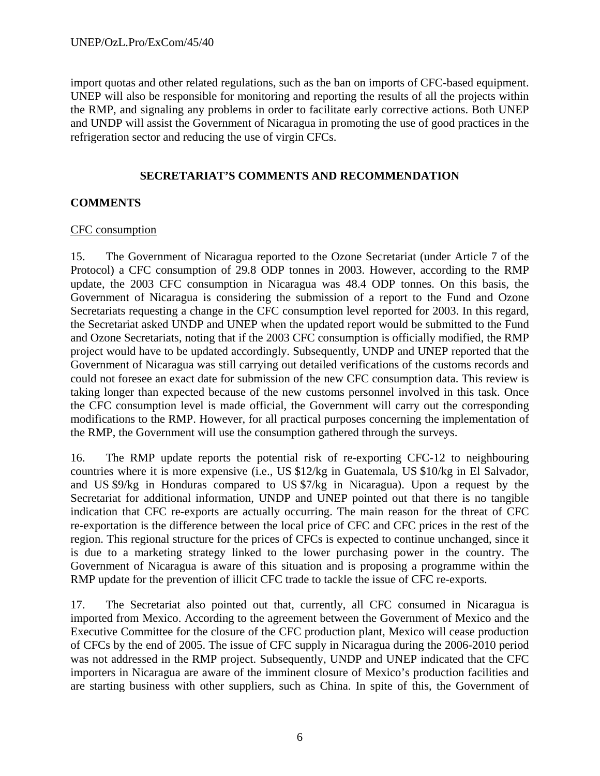import quotas and other related regulations, such as the ban on imports of CFC-based equipment. UNEP will also be responsible for monitoring and reporting the results of all the projects within the RMP, and signaling any problems in order to facilitate early corrective actions. Both UNEP and UNDP will assist the Government of Nicaragua in promoting the use of good practices in the refrigeration sector and reducing the use of virgin CFCs.

# **SECRETARIAT'S COMMENTS AND RECOMMENDATION**

# **COMMENTS**

# CFC consumption

15. The Government of Nicaragua reported to the Ozone Secretariat (under Article 7 of the Protocol) a CFC consumption of 29.8 ODP tonnes in 2003. However, according to the RMP update, the 2003 CFC consumption in Nicaragua was 48.4 ODP tonnes. On this basis, the Government of Nicaragua is considering the submission of a report to the Fund and Ozone Secretariats requesting a change in the CFC consumption level reported for 2003. In this regard, the Secretariat asked UNDP and UNEP when the updated report would be submitted to the Fund and Ozone Secretariats, noting that if the 2003 CFC consumption is officially modified, the RMP project would have to be updated accordingly. Subsequently, UNDP and UNEP reported that the Government of Nicaragua was still carrying out detailed verifications of the customs records and could not foresee an exact date for submission of the new CFC consumption data. This review is taking longer than expected because of the new customs personnel involved in this task. Once the CFC consumption level is made official, the Government will carry out the corresponding modifications to the RMP. However, for all practical purposes concerning the implementation of the RMP, the Government will use the consumption gathered through the surveys.

16. The RMP update reports the potential risk of re-exporting CFC-12 to neighbouring countries where it is more expensive (i.e., US \$12/kg in Guatemala, US \$10/kg in El Salvador, and US \$9/kg in Honduras compared to US \$7/kg in Nicaragua). Upon a request by the Secretariat for additional information, UNDP and UNEP pointed out that there is no tangible indication that CFC re-exports are actually occurring. The main reason for the threat of CFC re-exportation is the difference between the local price of CFC and CFC prices in the rest of the region. This regional structure for the prices of CFCs is expected to continue unchanged, since it is due to a marketing strategy linked to the lower purchasing power in the country. The Government of Nicaragua is aware of this situation and is proposing a programme within the RMP update for the prevention of illicit CFC trade to tackle the issue of CFC re-exports.

17. The Secretariat also pointed out that, currently, all CFC consumed in Nicaragua is imported from Mexico. According to the agreement between the Government of Mexico and the Executive Committee for the closure of the CFC production plant, Mexico will cease production of CFCs by the end of 2005. The issue of CFC supply in Nicaragua during the 2006-2010 period was not addressed in the RMP project. Subsequently, UNDP and UNEP indicated that the CFC importers in Nicaragua are aware of the imminent closure of Mexico's production facilities and are starting business with other suppliers, such as China. In spite of this, the Government of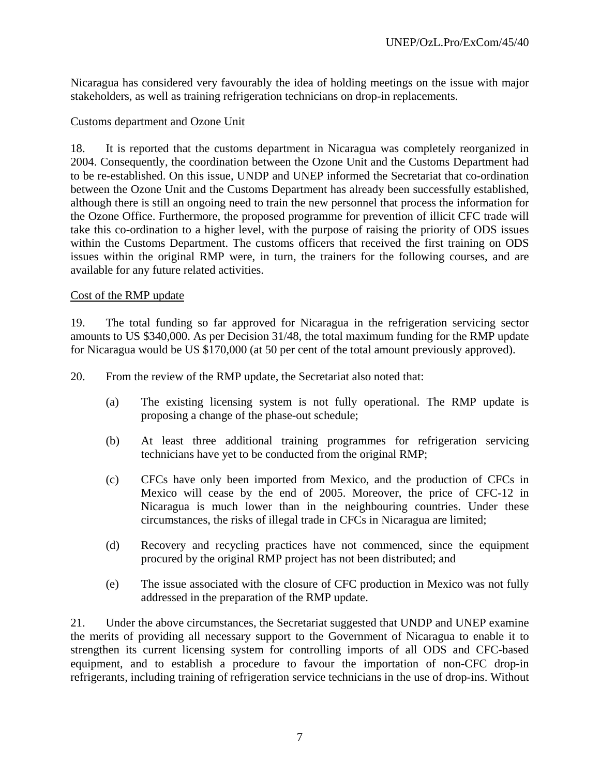Nicaragua has considered very favourably the idea of holding meetings on the issue with major stakeholders, as well as training refrigeration technicians on drop-in replacements.

#### Customs department and Ozone Unit

18. It is reported that the customs department in Nicaragua was completely reorganized in 2004. Consequently, the coordination between the Ozone Unit and the Customs Department had to be re-established. On this issue, UNDP and UNEP informed the Secretariat that co-ordination between the Ozone Unit and the Customs Department has already been successfully established, although there is still an ongoing need to train the new personnel that process the information for the Ozone Office. Furthermore, the proposed programme for prevention of illicit CFC trade will take this co-ordination to a higher level, with the purpose of raising the priority of ODS issues within the Customs Department. The customs officers that received the first training on ODS issues within the original RMP were, in turn, the trainers for the following courses, and are available for any future related activities.

#### Cost of the RMP update

19. The total funding so far approved for Nicaragua in the refrigeration servicing sector amounts to US \$340,000. As per Decision 31/48, the total maximum funding for the RMP update for Nicaragua would be US \$170,000 (at 50 per cent of the total amount previously approved).

20. From the review of the RMP update, the Secretariat also noted that:

- (a) The existing licensing system is not fully operational. The RMP update is proposing a change of the phase-out schedule;
- (b) At least three additional training programmes for refrigeration servicing technicians have yet to be conducted from the original RMP;
- (c) CFCs have only been imported from Mexico, and the production of CFCs in Mexico will cease by the end of 2005. Moreover, the price of CFC-12 in Nicaragua is much lower than in the neighbouring countries. Under these circumstances, the risks of illegal trade in CFCs in Nicaragua are limited;
- (d) Recovery and recycling practices have not commenced, since the equipment procured by the original RMP project has not been distributed; and
- (e) The issue associated with the closure of CFC production in Mexico was not fully addressed in the preparation of the RMP update.

21. Under the above circumstances, the Secretariat suggested that UNDP and UNEP examine the merits of providing all necessary support to the Government of Nicaragua to enable it to strengthen its current licensing system for controlling imports of all ODS and CFC-based equipment, and to establish a procedure to favour the importation of non-CFC drop-in refrigerants, including training of refrigeration service technicians in the use of drop-ins. Without